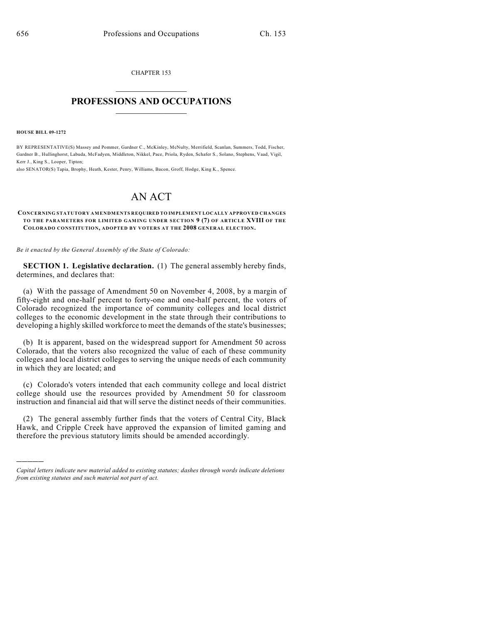CHAPTER 153  $\overline{\phantom{a}}$  . The set of the set of the set of the set of the set of the set of the set of the set of the set of the set of the set of the set of the set of the set of the set of the set of the set of the set of the set o

# **PROFESSIONS AND OCCUPATIONS**  $\frac{1}{2}$  ,  $\frac{1}{2}$  ,  $\frac{1}{2}$  ,  $\frac{1}{2}$  ,  $\frac{1}{2}$  ,  $\frac{1}{2}$

**HOUSE BILL 09-1272**

)))))

BY REPRESENTATIVE(S) Massey and Pommer, Gardner C., McKinley, McNulty, Merrifield, Scanlan, Summers, Todd, Fischer, Gardner B., Hullinghorst, Labuda, McFadyen, Middleton, Nikkel, Pace, Priola, Ryden, Schafer S., Solano, Stephens, Vaad, Vigil, Kerr J., King S., Looper, Tipton;

also SENATOR(S) Tapia, Brophy, Heath, Kester, Penry, Williams, Bacon, Groff, Hodge, King K., Spence.

# AN ACT

#### **CONCERNING STATUTORY AMENDMENTS REQUIRED TO IMPLEMENT LOCALLY APPROVED CHANGES TO THE PARAMETERS FOR LIMITED GAMING UNDER SECTION 9 (7) OF ARTICLE XVIII OF THE COLORADO CONSTITUTION, ADOPTED BY VOTERS AT THE 2008 GENERAL ELECTION.**

*Be it enacted by the General Assembly of the State of Colorado:*

**SECTION 1. Legislative declaration.** (1) The general assembly hereby finds, determines, and declares that:

(a) With the passage of Amendment 50 on November 4, 2008, by a margin of fifty-eight and one-half percent to forty-one and one-half percent, the voters of Colorado recognized the importance of community colleges and local district colleges to the economic development in the state through their contributions to developing a highly skilled workforce to meet the demands of the state's businesses;

(b) It is apparent, based on the widespread support for Amendment 50 across Colorado, that the voters also recognized the value of each of these community colleges and local district colleges to serving the unique needs of each community in which they are located; and

(c) Colorado's voters intended that each community college and local district college should use the resources provided by Amendment 50 for classroom instruction and financial aid that will serve the distinct needs of their communities.

(2) The general assembly further finds that the voters of Central City, Black Hawk, and Cripple Creek have approved the expansion of limited gaming and therefore the previous statutory limits should be amended accordingly.

*Capital letters indicate new material added to existing statutes; dashes through words indicate deletions from existing statutes and such material not part of act.*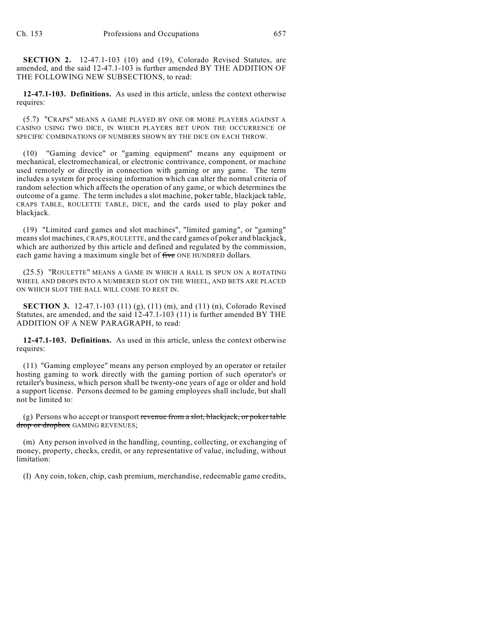**SECTION 2.** 12-47.1-103 (10) and (19), Colorado Revised Statutes, are amended, and the said 12-47.1-103 is further amended BY THE ADDITION OF THE FOLLOWING NEW SUBSECTIONS, to read:

**12-47.1-103. Definitions.** As used in this article, unless the context otherwise requires:

(5.7) "CRAPS" MEANS A GAME PLAYED BY ONE OR MORE PLAYERS AGAINST A CASINO USING TWO DICE, IN WHICH PLAYERS BET UPON THE OCCURRENCE OF SPECIFIC COMBINATIONS OF NUMBERS SHOWN BY THE DICE ON EACH THROW.

(10) "Gaming device" or "gaming equipment" means any equipment or mechanical, electromechanical, or electronic contrivance, component, or machine used remotely or directly in connection with gaming or any game. The term includes a system for processing information which can alter the normal criteria of random selection which affects the operation of any game, or which determines the outcome of a game. The term includes a slot machine, poker table, blackjack table, CRAPS TABLE, ROULETTE TABLE, DICE, and the cards used to play poker and blackjack.

(19) "Limited card games and slot machines", "limited gaming", or "gaming" means slot machines, CRAPS, ROULETTE, and the card games of poker and blackjack, which are authorized by this article and defined and regulated by the commission, each game having a maximum single bet of five ONE HUNDRED dollars.

(25.5) "ROULETTE" MEANS A GAME IN WHICH A BALL IS SPUN ON A ROTATING WHEEL AND DROPS INTO A NUMBERED SLOT ON THE WHEEL, AND BETS ARE PLACED ON WHICH SLOT THE BALL WILL COME TO REST IN.

**SECTION 3.** 12-47.1-103 (11) (g), (11) (m), and (11) (n), Colorado Revised Statutes, are amended, and the said 12-47.1-103 (11) is further amended BY THE ADDITION OF A NEW PARAGRAPH, to read:

**12-47.1-103. Definitions.** As used in this article, unless the context otherwise requires:

(11) "Gaming employee" means any person employed by an operator or retailer hosting gaming to work directly with the gaming portion of such operator's or retailer's business, which person shall be twenty-one years of age or older and hold a support license. Persons deemed to be gaming employees shall include, but shall not be limited to:

(g) Persons who accept or transport revenue from a slot, blackjack, or poker table drop or dropbox GAMING REVENUES;

(m) Any person involved in the handling, counting, collecting, or exchanging of money, property, checks, credit, or any representative of value, including, without limitation:

(I) Any coin, token, chip, cash premium, merchandise, redeemable game credits,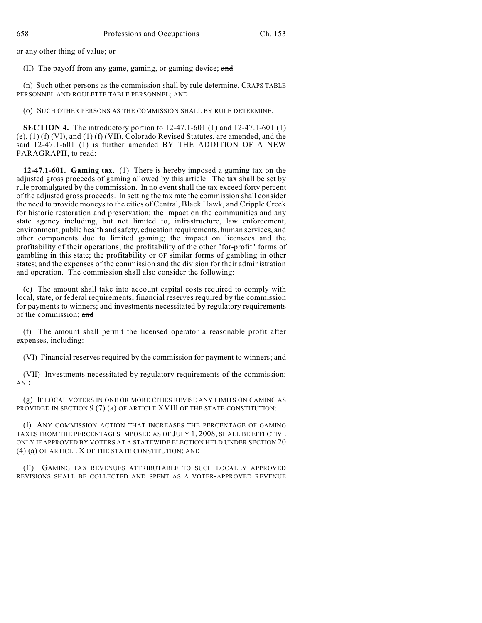or any other thing of value; or

(II) The payoff from any game, gaming, or gaming device; and

(n) Such other persons as the commission shall by rule determine. CRAPS TABLE PERSONNEL AND ROULETTE TABLE PERSONNEL; AND

(o) SUCH OTHER PERSONS AS THE COMMISSION SHALL BY RULE DETERMINE.

**SECTION 4.** The introductory portion to 12-47.1-601 (1) and 12-47.1-601 (1) (e), (1) (f) (VI), and (1) (f) (VII), Colorado Revised Statutes, are amended, and the said 12-47.1-601 (1) is further amended BY THE ADDITION OF A NEW PARAGRAPH, to read:

**12-47.1-601. Gaming tax.** (1) There is hereby imposed a gaming tax on the adjusted gross proceeds of gaming allowed by this article. The tax shall be set by rule promulgated by the commission. In no event shall the tax exceed forty percent of the adjusted gross proceeds. In setting the tax rate the commission shall consider the need to provide moneys to the cities of Central, Black Hawk, and Cripple Creek for historic restoration and preservation; the impact on the communities and any state agency including, but not limited to, infrastructure, law enforcement, environment, public health and safety, education requirements, human services, and other components due to limited gaming; the impact on licensees and the profitability of their operations; the profitability of the other "for-profit" forms of gambling in this state; the profitability  $\sigma r$  OF similar forms of gambling in other states; and the expenses of the commission and the division for their administration and operation. The commission shall also consider the following:

(e) The amount shall take into account capital costs required to comply with local, state, or federal requirements; financial reserves required by the commission for payments to winners; and investments necessitated by regulatory requirements of the commission; and

(f) The amount shall permit the licensed operator a reasonable profit after expenses, including:

(VI) Financial reserves required by the commission for payment to winners; and

(VII) Investments necessitated by regulatory requirements of the commission; AND

(g) IF LOCAL VOTERS IN ONE OR MORE CITIES REVISE ANY LIMITS ON GAMING AS PROVIDED IN SECTION 9 (7) (a) OF ARTICLE XVIII OF THE STATE CONSTITUTION:

(I) ANY COMMISSION ACTION THAT INCREASES THE PERCENTAGE OF GAMING TAXES FROM THE PERCENTAGES IMPOSED AS OF JULY 1, 2008, SHALL BE EFFECTIVE ONLY IF APPROVED BY VOTERS AT A STATEWIDE ELECTION HELD UNDER SECTION 20 (4) (a) OF ARTICLE X OF THE STATE CONSTITUTION; AND

(II) GAMING TAX REVENUES ATTRIBUTABLE TO SUCH LOCALLY APPROVED REVISIONS SHALL BE COLLECTED AND SPENT AS A VOTER-APPROVED REVENUE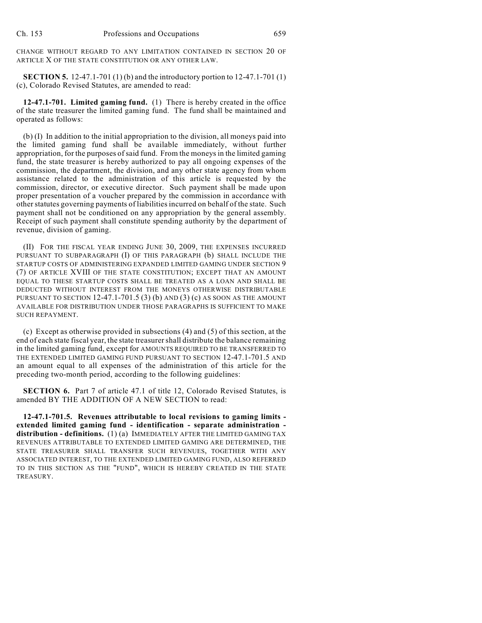CHANGE WITHOUT REGARD TO ANY LIMITATION CONTAINED IN SECTION 20 OF ARTICLE X OF THE STATE CONSTITUTION OR ANY OTHER LAW.

**SECTION 5.** 12-47.1-701 (1) (b) and the introductory portion to 12-47.1-701 (1) (c), Colorado Revised Statutes, are amended to read:

**12-47.1-701. Limited gaming fund.** (1) There is hereby created in the office of the state treasurer the limited gaming fund. The fund shall be maintained and operated as follows:

(b) (I) In addition to the initial appropriation to the division, all moneys paid into the limited gaming fund shall be available immediately, without further appropriation, for the purposes of said fund. From the moneys in the limited gaming fund, the state treasurer is hereby authorized to pay all ongoing expenses of the commission, the department, the division, and any other state agency from whom assistance related to the administration of this article is requested by the commission, director, or executive director. Such payment shall be made upon proper presentation of a voucher prepared by the commission in accordance with other statutes governing payments of liabilities incurred on behalf of the state. Such payment shall not be conditioned on any appropriation by the general assembly. Receipt of such payment shall constitute spending authority by the department of revenue, division of gaming.

(II) FOR THE FISCAL YEAR ENDING JUNE 30, 2009, THE EXPENSES INCURRED PURSUANT TO SUBPARAGRAPH (I) OF THIS PARAGRAPH (b) SHALL INCLUDE THE STARTUP COSTS OF ADMINISTERING EXPANDED LIMITED GAMING UNDER SECTION 9 (7) OF ARTICLE XVIII OF THE STATE CONSTITUTION; EXCEPT THAT AN AMOUNT EQUAL TO THESE STARTUP COSTS SHALL BE TREATED AS A LOAN AND SHALL BE DEDUCTED WITHOUT INTEREST FROM THE MONEYS OTHERWISE DISTRIBUTABLE PURSUANT TO SECTION  $12-47.1-701.5$  (3) (b) AND (3) (c) AS SOON AS THE AMOUNT AVAILABLE FOR DISTRIBUTION UNDER THOSE PARAGRAPHS IS SUFFICIENT TO MAKE SUCH REPAYMENT.

(c) Except as otherwise provided in subsections (4) and (5) of this section, at the end of each state fiscal year, the state treasurer shall distribute the balance remaining in the limited gaming fund, except for AMOUNTS REQUIRED TO BE TRANSFERRED TO THE EXTENDED LIMITED GAMING FUND PURSUANT TO SECTION 12-47.1-701.5 AND an amount equal to all expenses of the administration of this article for the preceding two-month period, according to the following guidelines:

**SECTION 6.** Part 7 of article 47.1 of title 12, Colorado Revised Statutes, is amended BY THE ADDITION OF A NEW SECTION to read:

**12-47.1-701.5. Revenues attributable to local revisions to gaming limits extended limited gaming fund - identification - separate administration distribution - definitions.** (1) (a) IMMEDIATELY AFTER THE LIMITED GAMING TAX REVENUES ATTRIBUTABLE TO EXTENDED LIMITED GAMING ARE DETERMINED, THE STATE TREASURER SHALL TRANSFER SUCH REVENUES, TOGETHER WITH ANY ASSOCIATED INTEREST, TO THE EXTENDED LIMITED GAMING FUND, ALSO REFERRED TO IN THIS SECTION AS THE "FUND", WHICH IS HEREBY CREATED IN THE STATE TREASURY.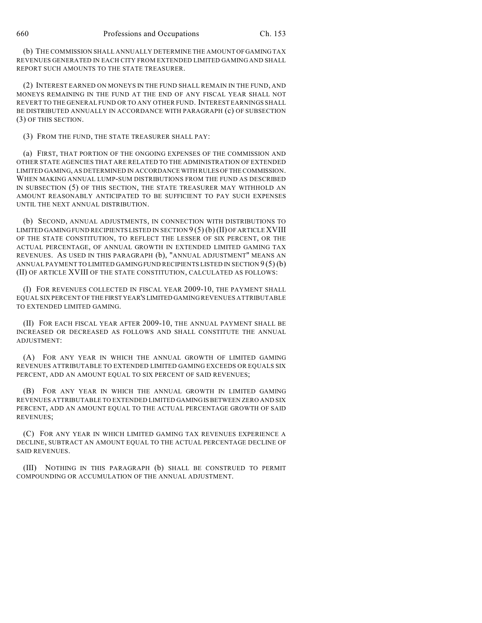(b) THE COMMISSION SHALL ANNUALLY DETERMINE THE AMOUNT OF GAMING TAX REVENUES GENERATED IN EACH CITY FROM EXTENDED LIMITED GAMING AND SHALL REPORT SUCH AMOUNTS TO THE STATE TREASURER.

(2) INTEREST EARNED ON MONEYS IN THE FUND SHALL REMAIN IN THE FUND, AND MONEYS REMAINING IN THE FUND AT THE END OF ANY FISCAL YEAR SHALL NOT REVERT TO THE GENERAL FUND OR TO ANY OTHER FUND. INTEREST EARNINGS SHALL BE DISTRIBUTED ANNUALLY IN ACCORDANCE WITH PARAGRAPH (c) OF SUBSECTION (3) OF THIS SECTION.

(3) FROM THE FUND, THE STATE TREASURER SHALL PAY:

(a) FIRST, THAT PORTION OF THE ONGOING EXPENSES OF THE COMMISSION AND OTHER STATE AGENCIES THAT ARE RELATED TO THE ADMINISTRATION OF EXTENDED LIMITED GAMING, AS DETERMINED IN ACCORDANCE WITH RULES OF THE COMMISSION. WHEN MAKING ANNUAL LUMP-SUM DISTRIBUTIONS FROM THE FUND AS DESCRIBED IN SUBSECTION (5) OF THIS SECTION, THE STATE TREASURER MAY WITHHOLD AN AMOUNT REASONABLY ANTICIPATED TO BE SUFFICIENT TO PAY SUCH EXPENSES UNTIL THE NEXT ANNUAL DISTRIBUTION.

(b) SECOND, ANNUAL ADJUSTMENTS, IN CONNECTION WITH DISTRIBUTIONS TO LIMITED GAMING FUND RECIPIENTS LISTED IN SECTION  $9(5)$  (b) (II) OF ARTICLE XVIII OF THE STATE CONSTITUTION, TO REFLECT THE LESSER OF SIX PERCENT, OR THE ACTUAL PERCENTAGE, OF ANNUAL GROWTH IN EXTENDED LIMITED GAMING TAX REVENUES. AS USED IN THIS PARAGRAPH (b), "ANNUAL ADJUSTMENT" MEANS AN ANNUAL PAYMENT TO LIMITED GAMING FUND RECIPIENTS LISTED IN SECTION 9 (5) (b) (II) OF ARTICLE XVIII OF THE STATE CONSTITUTION, CALCULATED AS FOLLOWS:

(I) FOR REVENUES COLLECTED IN FISCAL YEAR 2009-10, THE PAYMENT SHALL EQUAL SIX PERCENT OF THE FIRST YEAR'S LIMITED GAMING REVENUES ATTRIBUTABLE TO EXTENDED LIMITED GAMING.

(II) FOR EACH FISCAL YEAR AFTER 2009-10, THE ANNUAL PAYMENT SHALL BE INCREASED OR DECREASED AS FOLLOWS AND SHALL CONSTITUTE THE ANNUAL ADJUSTMENT:

(A) FOR ANY YEAR IN WHICH THE ANNUAL GROWTH OF LIMITED GAMING REVENUES ATTRIBUTABLE TO EXTENDED LIMITED GAMING EXCEEDS OR EQUALS SIX PERCENT, ADD AN AMOUNT EQUAL TO SIX PERCENT OF SAID REVENUES;

(B) FOR ANY YEAR IN WHICH THE ANNUAL GROWTH IN LIMITED GAMING REVENUES ATTRIBUTABLE TO EXTENDED LIMITED GAMING IS BETWEEN ZERO AND SIX PERCENT, ADD AN AMOUNT EQUAL TO THE ACTUAL PERCENTAGE GROWTH OF SAID REVENUES;

(C) FOR ANY YEAR IN WHICH LIMITED GAMING TAX REVENUES EXPERIENCE A DECLINE, SUBTRACT AN AMOUNT EQUAL TO THE ACTUAL PERCENTAGE DECLINE OF SAID REVENUES.

(III) NOTHING IN THIS PARAGRAPH (b) SHALL BE CONSTRUED TO PERMIT COMPOUNDING OR ACCUMULATION OF THE ANNUAL ADJUSTMENT.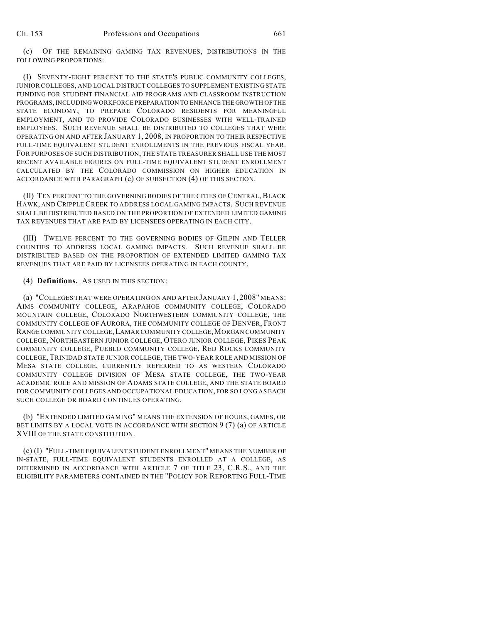(c) OF THE REMAINING GAMING TAX REVENUES, DISTRIBUTIONS IN THE FOLLOWING PROPORTIONS:

(I) SEVENTY-EIGHT PERCENT TO THE STATE'S PUBLIC COMMUNITY COLLEGES, JUNIOR COLLEGES, AND LOCAL DISTRICT COLLEGES TO SUPPLEMENT EXISTING STATE FUNDING FOR STUDENT FINANCIAL AID PROGRAMS AND CLASSROOM INSTRUCTION PROGRAMS, INCLUDING WORKFORCE PREPARATION TO ENHANCE THE GROWTH OF THE STATE ECONOMY, TO PREPARE COLORADO RESIDENTS FOR MEANINGFUL EMPLOYMENT, AND TO PROVIDE COLORADO BUSINESSES WITH WELL-TRAINED EMPLOYEES. SUCH REVENUE SHALL BE DISTRIBUTED TO COLLEGES THAT WERE OPERATING ON AND AFTER JANUARY 1, 2008, IN PROPORTION TO THEIR RESPECTIVE FULL-TIME EQUIVALENT STUDENT ENROLLMENTS IN THE PREVIOUS FISCAL YEAR. FOR PURPOSES OF SUCH DISTRIBUTION, THE STATE TREASURER SHALL USE THE MOST RECENT AVAILABLE FIGURES ON FULL-TIME EQUIVALENT STUDENT ENROLLMENT CALCULATED BY THE COLORADO COMMISSION ON HIGHER EDUCATION IN ACCORDANCE WITH PARAGRAPH (c) OF SUBSECTION (4) OF THIS SECTION.

(II) TEN PERCENT TO THE GOVERNING BODIES OF THE CITIES OF CENTRAL, BLACK HAWK, AND CRIPPLE CREEK TO ADDRESS LOCAL GAMING IMPACTS. SUCH REVENUE SHALL BE DISTRIBUTED BASED ON THE PROPORTION OF EXTENDED LIMITED GAMING TAX REVENUES THAT ARE PAID BY LICENSEES OPERATING IN EACH CITY.

(III) TWELVE PERCENT TO THE GOVERNING BODIES OF GILPIN AND TELLER COUNTIES TO ADDRESS LOCAL GAMING IMPACTS. SUCH REVENUE SHALL BE DISTRIBUTED BASED ON THE PROPORTION OF EXTENDED LIMITED GAMING TAX REVENUES THAT ARE PAID BY LICENSEES OPERATING IN EACH COUNTY.

## (4) **Definitions.** AS USED IN THIS SECTION:

(a) "COLLEGES THAT WERE OPERATING ON AND AFTER JANUARY 1, 2008" MEANS: AIMS COMMUNITY COLLEGE, ARAPAHOE COMMUNITY COLLEGE, COLORADO MOUNTAIN COLLEGE, COLORADO NORTHWESTERN COMMUNITY COLLEGE, THE COMMUNITY COLLEGE OF AURORA, THE COMMUNITY COLLEGE OF DENVER, FRONT RANGE COMMUNITY COLLEGE, LAMAR COMMUNITY COLLEGE, MORGAN COMMUNITY COLLEGE, NORTHEASTERN JUNIOR COLLEGE, OTERO JUNIOR COLLEGE, PIKES PEAK COMMUNITY COLLEGE, PUEBLO COMMUNITY COLLEGE, RED ROCKS COMMUNITY COLLEGE, TRINIDAD STATE JUNIOR COLLEGE, THE TWO-YEAR ROLE AND MISSION OF MESA STATE COLLEGE, CURRENTLY REFERRED TO AS WESTERN COLORADO COMMUNITY COLLEGE DIVISION OF MESA STATE COLLEGE, THE TWO-YEAR ACADEMIC ROLE AND MISSION OF ADAMS STATE COLLEGE, AND THE STATE BOARD FOR COMMUNITY COLLEGES AND OCCUPATIONAL EDUCATION, FOR SO LONG AS EACH SUCH COLLEGE OR BOARD CONTINUES OPERATING.

(b) "EXTENDED LIMITED GAMING" MEANS THE EXTENSION OF HOURS, GAMES, OR BET LIMITS BY A LOCAL VOTE IN ACCORDANCE WITH SECTION 9 (7) (a) OF ARTICLE XVIII OF THE STATE CONSTITUTION.

(c) (I) "FULL-TIME EQUIVALENT STUDENT ENROLLMENT" MEANS THE NUMBER OF IN-STATE, FULL-TIME EQUIVALENT STUDENTS ENROLLED AT A COLLEGE, AS DETERMINED IN ACCORDANCE WITH ARTICLE 7 OF TITLE 23, C.R.S., AND THE ELIGIBILITY PARAMETERS CONTAINED IN THE "POLICY FOR REPORTING FULL-TIME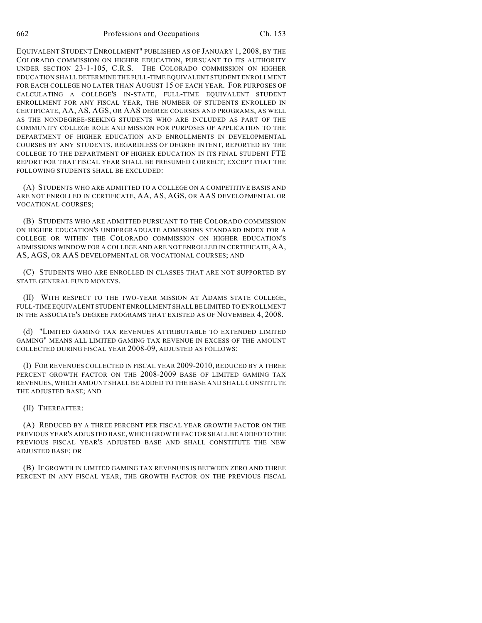662 Professions and Occupations Ch. 153

EQUIVALENT STUDENT ENROLLMENT" PUBLISHED AS OF JANUARY 1, 2008, BY THE COLORADO COMMISSION ON HIGHER EDUCATION, PURSUANT TO ITS AUTHORITY UNDER SECTION 23-1-105, C.R.S. THE COLORADO COMMISSION ON HIGHER EDUCATION SHALL DETERMINE THE FULL-TIME EQUIVALENT STUDENT ENROLLMENT FOR EACH COLLEGE NO LATER THAN AUGUST 15 OF EACH YEAR. FOR PURPOSES OF CALCULATING A COLLEGE'S IN-STATE, FULL-TIME EQUIVALENT STUDENT ENROLLMENT FOR ANY FISCAL YEAR, THE NUMBER OF STUDENTS ENROLLED IN CERTIFICATE, AA, AS, AGS, OR AAS DEGREE COURSES AND PROGRAMS, AS WELL AS THE NONDEGREE-SEEKING STUDENTS WHO ARE INCLUDED AS PART OF THE COMMUNITY COLLEGE ROLE AND MISSION FOR PURPOSES OF APPLICATION TO THE DEPARTMENT OF HIGHER EDUCATION AND ENROLLMENTS IN DEVELOPMENTAL COURSES BY ANY STUDENTS, REGARDLESS OF DEGREE INTENT, REPORTED BY THE COLLEGE TO THE DEPARTMENT OF HIGHER EDUCATION IN ITS FINAL STUDENT FTE REPORT FOR THAT FISCAL YEAR SHALL BE PRESUMED CORRECT; EXCEPT THAT THE FOLLOWING STUDENTS SHALL BE EXCLUDED:

(A) STUDENTS WHO ARE ADMITTED TO A COLLEGE ON A COMPETITIVE BASIS AND ARE NOT ENROLLED IN CERTIFICATE, AA, AS, AGS, OR AAS DEVELOPMENTAL OR VOCATIONAL COURSES;

(B) STUDENTS WHO ARE ADMITTED PURSUANT TO THE COLORADO COMMISSION ON HIGHER EDUCATION'S UNDERGRADUATE ADMISSIONS STANDARD INDEX FOR A COLLEGE OR WITHIN THE COLORADO COMMISSION ON HIGHER EDUCATION'S ADMISSIONS WINDOW FOR A COLLEGE AND ARE NOT ENROLLED IN CERTIFICATE, AA, AS, AGS, OR AAS DEVELOPMENTAL OR VOCATIONAL COURSES; AND

(C) STUDENTS WHO ARE ENROLLED IN CLASSES THAT ARE NOT SUPPORTED BY STATE GENERAL FUND MONEYS.

(II) WITH RESPECT TO THE TWO-YEAR MISSION AT ADAMS STATE COLLEGE, FULL-TIME EQUIVALENT STUDENT ENROLLMENT SHALL BE LIMITED TO ENROLLMENT IN THE ASSOCIATE'S DEGREE PROGRAMS THAT EXISTED AS OF NOVEMBER 4, 2008.

(d) "LIMITED GAMING TAX REVENUES ATTRIBUTABLE TO EXTENDED LIMITED GAMING" MEANS ALL LIMITED GAMING TAX REVENUE IN EXCESS OF THE AMOUNT COLLECTED DURING FISCAL YEAR 2008-09, ADJUSTED AS FOLLOWS:

(I) FOR REVENUES COLLECTED IN FISCAL YEAR 2009-2010, REDUCED BY A THREE PERCENT GROWTH FACTOR ON THE 2008-2009 BASE OF LIMITED GAMING TAX REVENUES, WHICH AMOUNT SHALL BE ADDED TO THE BASE AND SHALL CONSTITUTE THE ADJUSTED BASE; AND

### (II) THEREAFTER:

(A) REDUCED BY A THREE PERCENT PER FISCAL YEAR GROWTH FACTOR ON THE PREVIOUS YEAR'S ADJUSTED BASE, WHICH GROWTH FACTOR SHALL BE ADDED TO THE PREVIOUS FISCAL YEAR'S ADJUSTED BASE AND SHALL CONSTITUTE THE NEW ADJUSTED BASE; OR

(B) IF GROWTH IN LIMITED GAMING TAX REVENUES IS BETWEEN ZERO AND THREE PERCENT IN ANY FISCAL YEAR, THE GROWTH FACTOR ON THE PREVIOUS FISCAL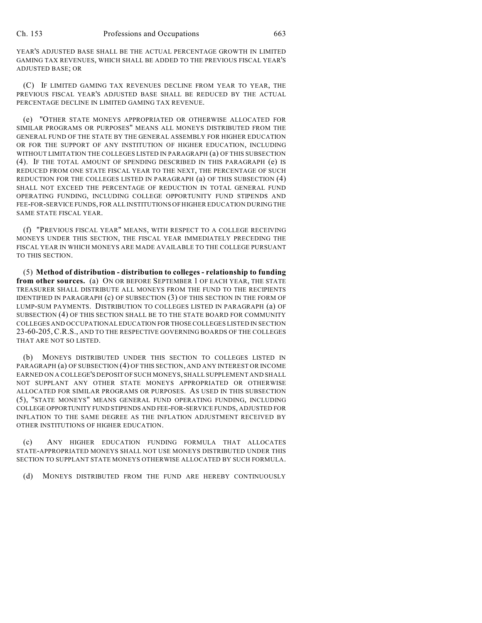YEAR'S ADJUSTED BASE SHALL BE THE ACTUAL PERCENTAGE GROWTH IN LIMITED GAMING TAX REVENUES, WHICH SHALL BE ADDED TO THE PREVIOUS FISCAL YEAR'S ADJUSTED BASE; OR

(C) IF LIMITED GAMING TAX REVENUES DECLINE FROM YEAR TO YEAR, THE PREVIOUS FISCAL YEAR'S ADJUSTED BASE SHALL BE REDUCED BY THE ACTUAL PERCENTAGE DECLINE IN LIMITED GAMING TAX REVENUE.

(e) "OTHER STATE MONEYS APPROPRIATED OR OTHERWISE ALLOCATED FOR SIMILAR PROGRAMS OR PURPOSES" MEANS ALL MONEYS DISTRIBUTED FROM THE GENERAL FUND OF THE STATE BY THE GENERAL ASSEMBLY FOR HIGHER EDUCATION OR FOR THE SUPPORT OF ANY INSTITUTION OF HIGHER EDUCATION, INCLUDING WITHOUT LIMITATION THE COLLEGES LISTED IN PARAGRAPH (a) OF THIS SUBSECTION (4). IF THE TOTAL AMOUNT OF SPENDING DESCRIBED IN THIS PARAGRAPH (e) IS REDUCED FROM ONE STATE FISCAL YEAR TO THE NEXT, THE PERCENTAGE OF SUCH REDUCTION FOR THE COLLEGES LISTED IN PARAGRAPH (a) OF THIS SUBSECTION (4) SHALL NOT EXCEED THE PERCENTAGE OF REDUCTION IN TOTAL GENERAL FUND OPERATING FUNDING, INCLUDING COLLEGE OPPORTUNITY FUND STIPENDS AND FEE-FOR-SERVICE FUNDS, FOR ALL INSTITUTIONS OF HIGHER EDUCATION DURING THE SAME STATE FISCAL YEAR.

(f) "PREVIOUS FISCAL YEAR" MEANS, WITH RESPECT TO A COLLEGE RECEIVING MONEYS UNDER THIS SECTION, THE FISCAL YEAR IMMEDIATELY PRECEDING THE FISCAL YEAR IN WHICH MONEYS ARE MADE AVAILABLE TO THE COLLEGE PURSUANT TO THIS SECTION.

(5) **Method of distribution - distribution to colleges - relationship to funding from other sources.** (a) ON OR BEFORE SEPTEMBER 1 OF EACH YEAR, THE STATE TREASURER SHALL DISTRIBUTE ALL MONEYS FROM THE FUND TO THE RECIPIENTS IDENTIFIED IN PARAGRAPH (c) OF SUBSECTION (3) OF THIS SECTION IN THE FORM OF LUMP-SUM PAYMENTS. DISTRIBUTION TO COLLEGES LISTED IN PARAGRAPH (a) OF SUBSECTION (4) OF THIS SECTION SHALL BE TO THE STATE BOARD FOR COMMUNITY COLLEGES AND OCCUPATIONAL EDUCATION FOR THOSE COLLEGES LISTED IN SECTION 23-60-205, C.R.S., AND TO THE RESPECTIVE GOVERNING BOARDS OF THE COLLEGES THAT ARE NOT SO LISTED.

(b) MONEYS DISTRIBUTED UNDER THIS SECTION TO COLLEGES LISTED IN PARAGRAPH (a) OF SUBSECTION (4) OF THIS SECTION, AND ANY INTEREST OR INCOME EARNED ON A COLLEGE'S DEPOSIT OF SUCH MONEYS, SHALL SUPPLEMENT AND SHALL NOT SUPPLANT ANY OTHER STATE MONEYS APPROPRIATED OR OTHERWISE ALLOCATED FOR SIMILAR PROGRAMS OR PURPOSES. AS USED IN THIS SUBSECTION (5), "STATE MONEYS" MEANS GENERAL FUND OPERATING FUNDING, INCLUDING COLLEGE OPPORTUNITY FUND STIPENDS AND FEE-FOR-SERVICE FUNDS, ADJUSTED FOR INFLATION TO THE SAME DEGREE AS THE INFLATION ADJUSTMENT RECEIVED BY OTHER INSTITUTIONS OF HIGHER EDUCATION.

(c) ANY HIGHER EDUCATION FUNDING FORMULA THAT ALLOCATES STATE-APPROPRIATED MONEYS SHALL NOT USE MONEYS DISTRIBUTED UNDER THIS SECTION TO SUPPLANT STATE MONEYS OTHERWISE ALLOCATED BY SUCH FORMULA.

(d) MONEYS DISTRIBUTED FROM THE FUND ARE HEREBY CONTINUOUSLY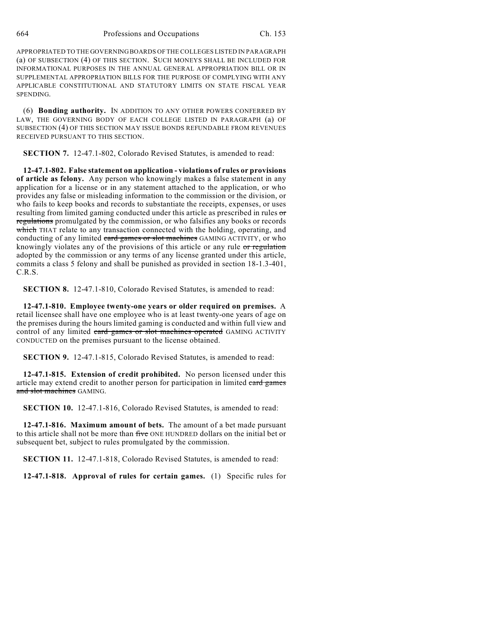APPROPRIATED TO THE GOVERNING BOARDS OF THE COLLEGES LISTED IN PARAGRAPH (a) OF SUBSECTION (4) OF THIS SECTION. SUCH MONEYS SHALL BE INCLUDED FOR INFORMATIONAL PURPOSES IN THE ANNUAL GENERAL APPROPRIATION BILL OR IN SUPPLEMENTAL APPROPRIATION BILLS FOR THE PURPOSE OF COMPLYING WITH ANY APPLICABLE CONSTITUTIONAL AND STATUTORY LIMITS ON STATE FISCAL YEAR SPENDING.

(6) **Bonding authority.** IN ADDITION TO ANY OTHER POWERS CONFERRED BY LAW, THE GOVERNING BODY OF EACH COLLEGE LISTED IN PARAGRAPH (a) OF SUBSECTION (4) OF THIS SECTION MAY ISSUE BONDS REFUNDABLE FROM REVENUES RECEIVED PURSUANT TO THIS SECTION.

**SECTION 7.** 12-47.1-802, Colorado Revised Statutes, is amended to read:

**12-47.1-802. False statement on application - violations of rules or provisions of article as felony.** Any person who knowingly makes a false statement in any application for a license or in any statement attached to the application, or who provides any false or misleading information to the commission or the division, or who fails to keep books and records to substantiate the receipts, expenses, or uses resulting from limited gaming conducted under this article as prescribed in rules or regulations promulgated by the commission, or who falsifies any books or records which THAT relate to any transaction connected with the holding, operating, and conducting of any limited eard games or slot machines GAMING ACTIVITY, or who knowingly violates any of the provisions of this article or any rule or regulation adopted by the commission or any terms of any license granted under this article, commits a class 5 felony and shall be punished as provided in section 18-1.3-401, C.R.S.

**SECTION 8.** 12-47.1-810, Colorado Revised Statutes, is amended to read:

**12-47.1-810. Employee twenty-one years or older required on premises.** A retail licensee shall have one employee who is at least twenty-one years of age on the premises during the hours limited gaming is conducted and within full view and control of any limited eard games or slot machines operated GAMING ACTIVITY CONDUCTED on the premises pursuant to the license obtained.

**SECTION 9.** 12-47.1-815, Colorado Revised Statutes, is amended to read:

**12-47.1-815. Extension of credit prohibited.** No person licensed under this article may extend credit to another person for participation in limited card games and slot machines GAMING.

**SECTION 10.** 12-47.1-816, Colorado Revised Statutes, is amended to read:

**12-47.1-816. Maximum amount of bets.** The amount of a bet made pursuant to this article shall not be more than five ONE HUNDRED dollars on the initial bet or subsequent bet, subject to rules promulgated by the commission.

**SECTION 11.** 12-47.1-818, Colorado Revised Statutes, is amended to read:

**12-47.1-818. Approval of rules for certain games.** (1) Specific rules for